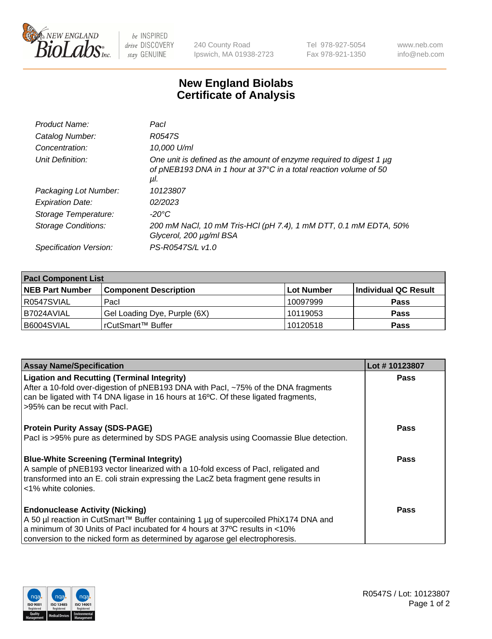

 $be$  INSPIRED drive DISCOVERY stay GENUINE

240 County Road Ipswich, MA 01938-2723 Tel 978-927-5054 Fax 978-921-1350 www.neb.com info@neb.com

## **New England Biolabs Certificate of Analysis**

| Product Name:           | Pacl                                                                                                                                            |
|-------------------------|-------------------------------------------------------------------------------------------------------------------------------------------------|
| Catalog Number:         | R0547S                                                                                                                                          |
| Concentration:          | 10,000 U/ml                                                                                                                                     |
| Unit Definition:        | One unit is defined as the amount of enzyme required to digest 1 µg<br>of pNEB193 DNA in 1 hour at 37°C in a total reaction volume of 50<br>μI. |
| Packaging Lot Number:   | 10123807                                                                                                                                        |
| <b>Expiration Date:</b> | 02/2023                                                                                                                                         |
| Storage Temperature:    | $-20^{\circ}$ C                                                                                                                                 |
| Storage Conditions:     | 200 mM NaCl, 10 mM Tris-HCl (pH 7.4), 1 mM DTT, 0.1 mM EDTA, 50%<br>Glycerol, 200 µg/ml BSA                                                     |
| Specification Version:  | PS-R0547S/L v1.0                                                                                                                                |

| <b>Pacl Component List</b> |                              |             |                      |  |  |
|----------------------------|------------------------------|-------------|----------------------|--|--|
| <b>NEB Part Number</b>     | <b>Component Description</b> | ∣Lot Number | Individual QC Result |  |  |
| R0547SVIAL                 | Pacl                         | 10097999    | <b>Pass</b>          |  |  |
| I B7024AVIAL               | Gel Loading Dye, Purple (6X) | 10119053    | <b>Pass</b>          |  |  |
| B6004SVIAL                 | rCutSmart™ Buffer            | 10120518    | <b>Pass</b>          |  |  |

| <b>Assay Name/Specification</b>                                                                                                                                                                                                                                                               | Lot #10123807 |
|-----------------------------------------------------------------------------------------------------------------------------------------------------------------------------------------------------------------------------------------------------------------------------------------------|---------------|
| <b>Ligation and Recutting (Terminal Integrity)</b><br>After a 10-fold over-digestion of pNEB193 DNA with Pacl, ~75% of the DNA fragments<br>can be ligated with T4 DNA ligase in 16 hours at 16 $\degree$ C. Of these ligated fragments,<br>l >95% can be recut with Pacl.                    | <b>Pass</b>   |
| <b>Protein Purity Assay (SDS-PAGE)</b><br>Pacl is >95% pure as determined by SDS PAGE analysis using Coomassie Blue detection.                                                                                                                                                                | <b>Pass</b>   |
| <b>Blue-White Screening (Terminal Integrity)</b><br>A sample of pNEB193 vector linearized with a 10-fold excess of Pacl, religated and<br>transformed into an E. coli strain expressing the LacZ beta fragment gene results in<br>l <1% white colonies.                                       | <b>Pass</b>   |
| <b>Endonuclease Activity (Nicking)</b><br>  A 50 µl reaction in CutSmart™ Buffer containing 1 µg of supercoiled PhiX174 DNA and<br>a minimum of 30 Units of Pacl incubated for 4 hours at 37°C results in <10%<br>conversion to the nicked form as determined by agarose gel electrophoresis. | <b>Pass</b>   |